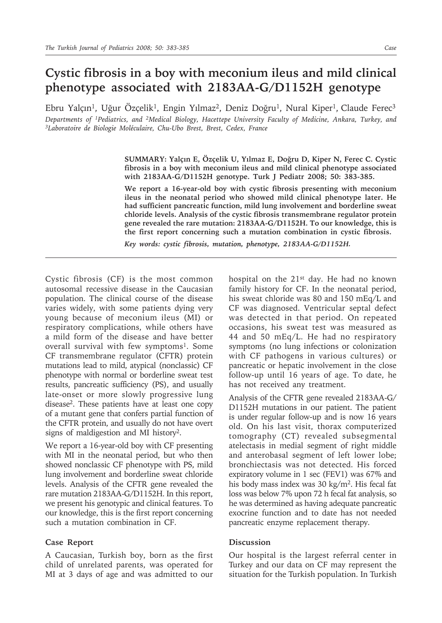## **Cystic fibrosis in a boy with meconium ileus and mild clinical phenotype associated with 2183AA-G/D1152H genotype**

Ebru Yalçın<sup>1</sup>, Uğur Özçelik<sup>1</sup>, Engin Yılmaz<sup>2</sup>, Deniz Doğru<sup>1</sup>, Nural Kiper<sup>1</sup>, Claude Ferec<sup>3</sup> *Departments of 1Pediatrics, and 2Medical Biology, Hacettepe University Faculty of Medicine, Ankara, Turkey, and 3Laboratoire de Biologie Moléculaire, Chu-Ubo Brest, Brest, Cedex, France*

> **SUMMARY: Yalçın E, Özçelik U, Yılmaz E, Doğru D, Kiper N, Ferec C. Cystic fibrosis in a boy with meconium ileus and mild clinical phenotype associated with 2183AA-G/D1152H genotype. Turk J Pediatr 2008; 50: 383-385.**

> **We report a 16-year-old boy with cystic fibrosis presenting with meconium ileus in the neonatal period who showed mild clinical phenotype later. He had sufficient pancreatic function, mild lung involvement and borderline sweat chloride levels. Analysis of the cystic fibrosis transmembrane regulator protein gene revealed the rare mutation: 2183AA-G/D1152H. To our knowledge, this is the first report concerning such a mutation combination in cystic fibrosis.**

*Key words: cystic fibrosis, mutation, phenotype, 2183AA-G/D1152H.*

Cystic fibrosis (CF) is the most common autosomal recessive disease in the Caucasian population. The clinical course of the disease varies widely, with some patients dying very young because of meconium ileus (MI) or respiratory complications, while others have a mild form of the disease and have better overall survival with few symptoms<sup>1</sup>. Some CF transmembrane regulator (CFTR) protein mutations lead to mild, atypical (nonclassic) CF phenotype with normal or borderline sweat test results, pancreatic sufficiency (PS), and usually late-onset or more slowly progressive lung disease2. These patients have at least one copy of a mutant gene that confers partial function of the CFTR protein, and usually do not have overt signs of maldigestion and MI history2.

We report a 16-year-old boy with CF presenting with MI in the neonatal period, but who then showed nonclassic CF phenotype with PS, mild lung involvement and borderline sweat chloride levels. Analysis of the CFTR gene revealed the rare mutation 2183AA-G/D1152H. In this report, we present his genotypic and clinical features. To our knowledge, this is the first report concerning such a mutation combination in CF.

## **Case Report**

A Caucasian, Turkish boy, born as the first child of unrelated parents, was operated for MI at 3 days of age and was admitted to our hospital on the 21st day. He had no known family history for CF. In the neonatal period, his sweat chloride was 80 and 150 mEq/L and CF was diagnosed. Ventricular septal defect was detected in that period. On repeated occasions, his sweat test was measured as 44 and 50 mEq/L. He had no respiratory symptoms (no lung infections or colonization with CF pathogens in various cultures) or pancreatic or hepatic involvement in the close follow-up until 16 years of age. To date, he has not received any treatment.

Analysis of the CFTR gene revealed 2183AA-G/ D1152H mutations in our patient. The patient is under regular follow-up and is now 16 years old. On his last visit, thorax computerized tomography (CT) revealed subsegmental atelectasis in medial segment of right middle and anterobasal segment of left lower lobe; bronchiectasis was not detected. His forced expiratory volume in 1 sec (FEV1) was 67% and his body mass index was 30 kg/m<sup>2</sup>. His fecal fat loss was below 7% upon 72 h fecal fat analysis, so he was determined as having adequate pancreatic exocrine function and to date has not needed pancreatic enzyme replacement therapy.

## **Discussion**

Our hospital is the largest referral center in Turkey and our data on CF may represent the situation for the Turkish population. In Turkish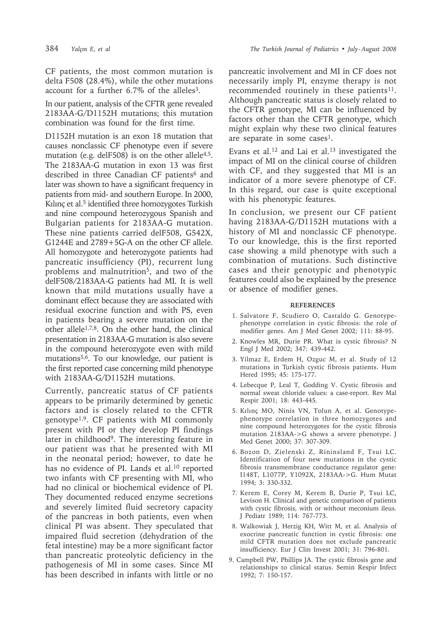CF patients, the most common mutation is delta F508 (28.4%), while the other mutations account for a further 6.7% of the alleles<sup>3</sup>.

In our patient, analysis of the CFTR gene revealed 2183AA-G/D1152H mutations; this mutation combination was found for the first time.

D1152H mutation is an exon 18 mutation that causes nonclassic CF phenotype even if severe mutation (e.g. delF508) is on the other allele $4.5$ . The 2183AA-G mutation in exon 13 was first described in three Canadian CF patients<sup>6</sup> and later was shown to have a significant frequency in patients from mid- and southern Europe. In 2000, Kılınç et al.<sup>5</sup> identified three homozygotes Turkish and nine compound heterozygous Spanish and Bulgarian patients for 2183AA-G mutation. These nine patients carried delF508, G542X, G1244E and 2789+5G-A on the other CF allele. All homozygote and heterozygote patients had pancreatic insufficiency (PI), recurrent lung problems and malnutrition<sup>5</sup>, and two of the delF508/2183AA-G patients had MI. It is well known that mild mutations usually have a dominant effect because they are associated with residual exocrine function and with PS, even in patients bearing a severe mutation on the other allele1,7,8. On the other hand, the clinical presentation in 2183AA-G mutation is also severe in the compound heterozygote even with mild mutations5,6. To our knowledge, our patient is the first reported case concerning mild phenotype with 2183AA-G/D1152H mutations.

Currently, pancreatic status of CF patients appears to be primarily determined by genetic factors and is closely related to the CFTR genotype1,9. CF patients with MI commonly present with PI or they develop PI findings later in childhood<sup>9</sup>. The interesting feature in our patient was that he presented with MI in the neonatal period; however, to date he has no evidence of PI. Lands et al.<sup>10</sup> reported two infants with CF presenting with MI, who had no clinical or biochemical evidence of PI. They documented reduced enzyme secretions and severely limited fluid secretory capacity of the pancreas in both patients, even when clinical PI was absent. They speculated that impaired fluid secretion (dehydration of the fetal intestine) may be a more significant factor than pancreatic proteolytic deficiency in the pathogenesis of MI in some cases. Since MI has been described in infants with little or no

pancreatic involvement and MI in CF does not necessarily imply PI, enzyme therapy is not recommended routinely in these patients<sup>11</sup>. Although pancreatic status is closely related to the CFTR genotype, MI can be influenced by factors other than the CFTR genotype, which might explain why these two clinical features are separate in some cases<sup>1</sup>.

Evans et al.12 and Lai et al.13 investigated the impact of MI on the clinical course of children with CF, and they suggested that MI is an indicator of a more severe phenotype of CF. In this regard, our case is quite exceptional with his phenotypic features.

In conclusion, we present our CF patient having 2183AA-G/D1152H mutations with a history of MI and nonclassic CF phenotype. To our knowledge, this is the first reported case showing a mild phenotype with such a combination of mutations. Such distinctive cases and their genotypic and phenotypic features could also be explained by the presence or absence of modifier genes.

## **REFERENCES**

- 1. Salvatore F, Scudiero O, Castaldo G. Genotypephenotype correlation in cystic fibrosis: the role of modifier genes. Am J Med Genet 2002; 111: 88-95.
- 2. Knowles MR, Durie PR. What is cystic fibrosis? N Engl J Med 2002; 347: 439-442.
- 3. Yilmaz E, Erdem H, Ozguc M, et al. Study of 12 mutations in Turkish cystic fibrosis patients. Hum Hered 1995; 45: 175-177.
- 4. Lebecque P, Leal T, Godding V. Cystic fibrosis and normal sweat chloride values: a case-report. Rev Mal Respir 2001; 18: 443-445.
- 5. Kılınç MO, Ninis VN, Tolun A, et al. Genotypephenotype correlation in three homozygotes and nine compound heterozygotes for the cystic fibrosis mutation 2183AA->G shows a severe phenotype. J Med Genet 2000; 37: 307-309.
- 6. Bozon D, Zielenski Z, Rininsland F, Tsui LC. Identification of four new mutations in the cystic fibrosis transmembrane conductance regulator gene: I148T, L1077P, Y1092X, 2183AA->G. Hum Mutat 1994; 3: 330-332.
- 7. Kerem E, Corey M, Kerem B, Durie P, Tsui LC, Levison H. Clinical and genetic comparison of patients with cystic fibrosis, with or without meconium ileus. J Pediatr 1989; 114: 767-773.
- 8. Walkowiak J, Herzig KH, Witt M, et al. Analysis of exocrine pancreatic function in cystic fibrosis: one mild CFTR mutation does not exclude pancreatic insufficiency. Eur J Clin Invest 2001; 31: 796-801.
- 9. Campbell PW, Phillips JA. The cystic fibrosis gene and relationships to clinical status. Semin Respir Infect 1992; 7: 150-157.